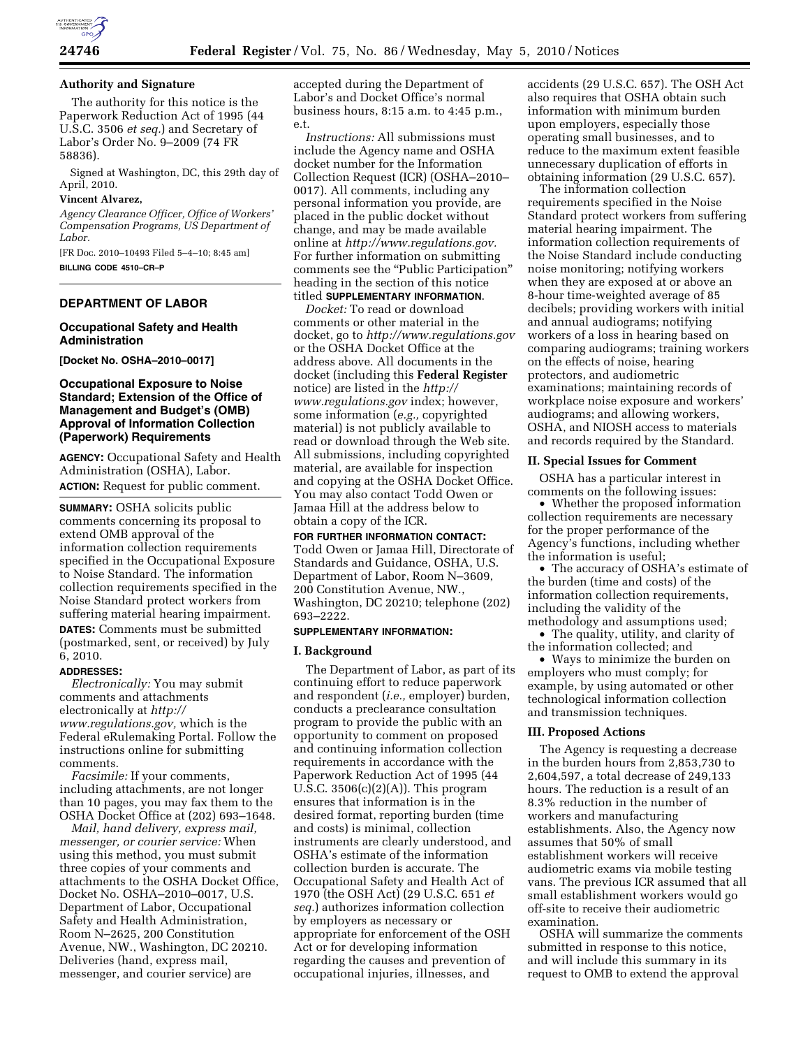

## **Authority and Signature**

The authority for this notice is the Paperwork Reduction Act of 1995 (44 U.S.C. 3506 *et seq.*) and Secretary of Labor's Order No. 9–2009 (74 FR 58836).

Signed at Washington, DC, this 29th day of April, 2010.

#### **Vincent Alvarez,**

*Agency Clearance Officer, Office of Workers' Compensation Programs, US Department of Labor.* 

[FR Doc. 2010–10493 Filed 5–4–10; 8:45 am] **BILLING CODE 4510–CR–P** 

# **DEPARTMENT OF LABOR**

## **Occupational Safety and Health Administration**

**[Docket No. OSHA–2010–0017]** 

## **Occupational Exposure to Noise Standard; Extension of the Office of Management and Budget's (OMB) Approval of Information Collection (Paperwork) Requirements**

**AGENCY:** Occupational Safety and Health Administration (OSHA), Labor. **ACTION:** Request for public comment.

**SUMMARY:** OSHA solicits public comments concerning its proposal to extend OMB approval of the information collection requirements specified in the Occupational Exposure to Noise Standard. The information collection requirements specified in the Noise Standard protect workers from suffering material hearing impairment. **DATES:** Comments must be submitted (postmarked, sent, or received) by July 6, 2010.

#### **ADDRESSES:**

*Electronically:* You may submit comments and attachments electronically at *http:// www.regulations.gov,* which is the Federal eRulemaking Portal. Follow the instructions online for submitting comments.

*Facsimile:* If your comments, including attachments, are not longer than 10 pages, you may fax them to the OSHA Docket Office at (202) 693–1648.

*Mail, hand delivery, express mail, messenger, or courier service:* When using this method, you must submit three copies of your comments and attachments to the OSHA Docket Office, Docket No. OSHA–2010–0017, U.S. Department of Labor, Occupational Safety and Health Administration, Room N–2625, 200 Constitution Avenue, NW., Washington, DC 20210. Deliveries (hand, express mail, messenger, and courier service) are

accepted during the Department of Labor's and Docket Office's normal business hours, 8:15 a.m. to 4:45 p.m., e.t.

*Instructions:* All submissions must include the Agency name and OSHA docket number for the Information Collection Request (ICR) (OSHA–2010– 0017). All comments, including any personal information you provide, are placed in the public docket without change, and may be made available online at *http://www.regulations.gov.*  For further information on submitting comments see the "Public Participation" heading in the section of this notice titled **SUPPLEMENTARY INFORMATION**.

*Docket:* To read or download comments or other material in the docket, go to *http://www.regulations.gov*  or the OSHA Docket Office at the address above. All documents in the docket (including this **Federal Register**  notice) are listed in the *http:// www.regulations.gov* index; however, some information (*e.g.,* copyrighted material) is not publicly available to read or download through the Web site. All submissions, including copyrighted material, are available for inspection and copying at the OSHA Docket Office. You may also contact Todd Owen or Jamaa Hill at the address below to obtain a copy of the ICR.

**FOR FURTHER INFORMATION CONTACT:**  Todd Owen or Jamaa Hill, Directorate of Standards and Guidance, OSHA, U.S. Department of Labor, Room N–3609, 200 Constitution Avenue, NW., Washington, DC 20210; telephone (202) 693–2222.

### **SUPPLEMENTARY INFORMATION:**

#### **I. Background**

The Department of Labor, as part of its continuing effort to reduce paperwork and respondent (*i.e.,* employer) burden, conducts a preclearance consultation program to provide the public with an opportunity to comment on proposed and continuing information collection requirements in accordance with the Paperwork Reduction Act of 1995 (44 U.S.C.  $3506(c)(2)(A)$ . This program ensures that information is in the desired format, reporting burden (time and costs) is minimal, collection instruments are clearly understood, and OSHA's estimate of the information collection burden is accurate. The Occupational Safety and Health Act of 1970 (the OSH Act) (29 U.S.C. 651 *et seq.*) authorizes information collection by employers as necessary or appropriate for enforcement of the OSH Act or for developing information regarding the causes and prevention of occupational injuries, illnesses, and

accidents (29 U.S.C. 657). The OSH Act also requires that OSHA obtain such information with minimum burden upon employers, especially those operating small businesses, and to reduce to the maximum extent feasible unnecessary duplication of efforts in obtaining information (29 U.S.C. 657).

The information collection requirements specified in the Noise Standard protect workers from suffering material hearing impairment. The information collection requirements of the Noise Standard include conducting noise monitoring; notifying workers when they are exposed at or above an 8-hour time-weighted average of 85 decibels; providing workers with initial and annual audiograms; notifying workers of a loss in hearing based on comparing audiograms; training workers on the effects of noise, hearing protectors, and audiometric examinations; maintaining records of workplace noise exposure and workers' audiograms; and allowing workers, OSHA, and NIOSH access to materials and records required by the Standard.

### **II. Special Issues for Comment**

OSHA has a particular interest in comments on the following issues:

• Whether the proposed information collection requirements are necessary for the proper performance of the Agency's functions, including whether the information is useful;

• The accuracy of OSHA's estimate of the burden (time and costs) of the information collection requirements, including the validity of the methodology and assumptions used;

• The quality, utility, and clarity of the information collected; and

• Ways to minimize the burden on employers who must comply; for example, by using automated or other technological information collection and transmission techniques.

#### **III. Proposed Actions**

The Agency is requesting a decrease in the burden hours from 2,853,730 to 2,604,597, a total decrease of 249,133 hours. The reduction is a result of an 8.3% reduction in the number of workers and manufacturing establishments. Also, the Agency now assumes that 50% of small establishment workers will receive audiometric exams via mobile testing vans. The previous ICR assumed that all small establishment workers would go off-site to receive their audiometric examination.

OSHA will summarize the comments submitted in response to this notice, and will include this summary in its request to OMB to extend the approval